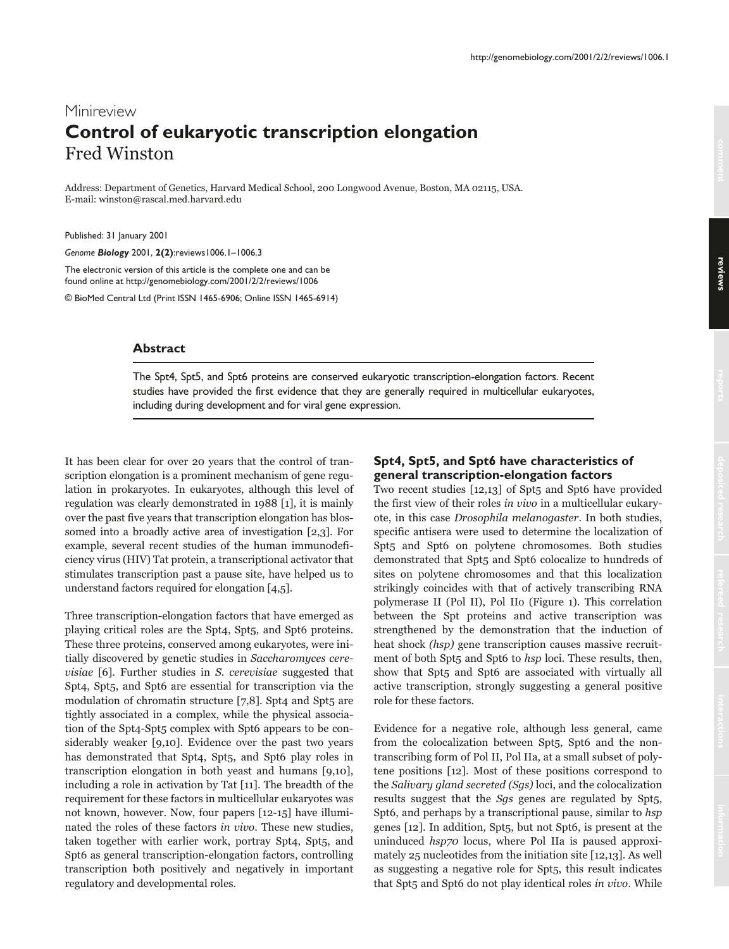# Minireview **Control of eukaryotic transcription elongation** Fred Winston

Address: Department of Genetics, Harvard Medical School, 200 Longwood Avenue, Boston, MA 02115, USA. E-mail: winston@rascal.med.harvard.edu

Published: 31 January 2001

*Genome Biology* 2001, **2(2)**:reviews1006.1–1006.3

The electronic version of this article is the complete one and can be found online at http://genomebiology.com/2001/2/2/reviews/1006

© BioMed Central Ltd (Print ISSN 1465-6906; Online ISSN 1465-6914)

#### **Abstract**

The Spt4, Spt5, and Spt6 proteins are conserved eukaryotic transcription-elongation factors. Recent studies have provided the first evidence that they are generally required in multicellular eukaryotes, including during development and for viral gene expression.

It has been clear for over 20 years that the control of transcription elongation is a prominent mechanism of gene regulation in prokaryotes. In eukaryotes, although this level of regulation was clearly demonstrated in 1988 [1], it is mainly over the past five years that transcription elongation has blossomed into a broadly active area of investigation [2,3]. For example, several recent studies of the human immunodeficiency virus (HIV) Tat protein, a transcriptional activator that stimulates transcription past a pause site, have helped us to understand factors required for elongation [4,5].

Three transcription-elongation factors that have emerged as playing critical roles are the Spt4, Spt5, and Spt6 proteins. These three proteins, conserved among eukaryotes, were initially discovered by genetic studies in Saccharomyces cerevisiae [6]. Further studies in S. cerevisiae suggested that Spt4, Spt5, and Spt6 are essential for transcription via the modulation of chromatin structure [7,8]. Spt4 and Spt5 are tightly associated in a complex, while the physical association of the Spt4-Spt5 complex with Spt6 appears to be considerably weaker [9,10]. Evidence over the past two years has demonstrated that Spt4, Spt5, and Spt6 play roles in transcription elongation in both yeast and humans [9,10], including a role in activation by Tat [11]. The breadth of the requirement for these factors in multicellular eukaryotes was not known, however. Now, four papers [12-15] have illuminated the roles of these factors in vivo. These new studies, taken together with earlier work, portray Spt4, Spt5, and Spt6 as general transcription-elongation factors, controlling transcription both positively and negatively in important regulatory and developmental roles.

## **Spt4, Spt5, and Spt6 have characteristics of general transcription-elongation factors**

Two recent studies [12,13] of Spt5 and Spt6 have provided the first view of their roles in vivo in a multicellular eukaryote, in this case Drosophila melanogaster. In both studies, specific antisera were used to determine the localization of Spt5 and Spt6 on polytene chromosomes. Both studies demonstrated that Spt5 and Spt6 colocalize to hundreds of sites on polytene chromosomes and that this localization strikingly coincides with that of actively transcribing RNA polymerase II (Pol II), Pol IIo (Figure 1). This correlation between the Spt proteins and active transcription was strengthened by the demonstration that the induction of heat shock *(hsp)* gene transcription causes massive recruitment of both Spt5 and Spt6 to hsp loci. These results, then, show that Spt5 and Spt6 are associated with virtually all active transcription, strongly suggesting a general positive role for these factors.

Evidence for a negative role, although less general, came from the colocalization between Spt5, Spt6 and the nontranscribing form of Pol II, Pol IIa, at a small subset of polytene positions [12]. Most of these positions correspond to the Salivary gland secreted (Sgs) loci, and the colocalization results suggest that the Sgs genes are regulated by Spt5, Spt6, and perhaps by a transcriptional pause, similar to hsp genes [12]. In addition, Spt5, but not Spt6, is present at the uninduced hsp70 locus, where Pol IIa is paused approximately 25 nucleotides from the initiation site [12,13]. As well as suggesting a negative role for Spt5, this result indicates that Spt5 and Spt6 do not play identical roles in vivo. While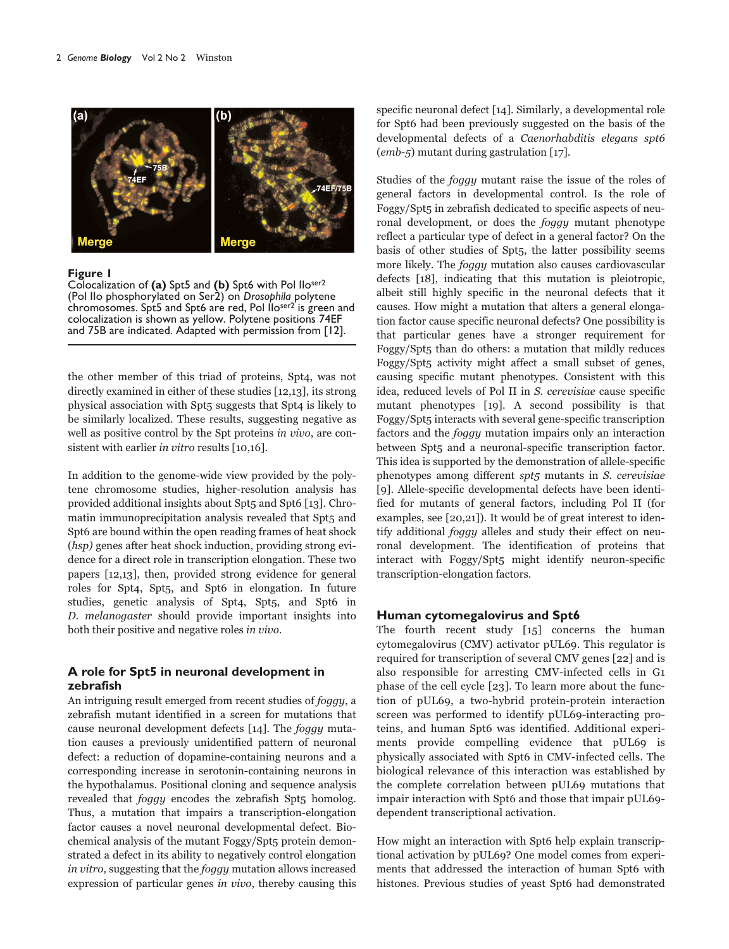

**Figure 1**

Colocalization of **(a)** Spt5 and **(b)** Spt6 with Pol IIoser2 (Pol IIo phosphorylated on Ser2) on *Drosophila* polytene chromosomes. Spt5 and Spt6 are red, Pol Iloser2 is green and colocalization is shown as yellow. Polytene positions 74EF and 75B are indicated. Adapted with permission from [12].

the other member of this triad of proteins, Spt4, was not directly examined in either of these studies [12,13], its strong physical association with Spt5 suggests that Spt4 is likely to be similarly localized. These results, suggesting negative as well as positive control by the Spt proteins in vivo, are consistent with earlier in vitro results [10,16].

In addition to the genome-wide view provided by the polytene chromosome studies, higher-resolution analysis has provided additional insights about Spt5 and Spt6 [13]. Chromatin immunoprecipitation analysis revealed that Spt5 and Spt6 are bound within the open reading frames of heat shock (hsp) genes after heat shock induction, providing strong evidence for a direct role in transcription elongation. These two papers [12,13], then, provided strong evidence for general roles for Spt4, Spt5, and Spt6 in elongation. In future studies, genetic analysis of Spt4, Spt5, and Spt6 in D. melanogaster should provide important insights into both their positive and negative roles in vivo.

## **A role for Spt5 in neuronal development in zebrafish**

An intriguing result emerged from recent studies of foggy, a zebrafish mutant identified in a screen for mutations that cause neuronal development defects [14]. The foggy mutation causes a previously unidentified pattern of neuronal defect: a reduction of dopamine-containing neurons and a corresponding increase in serotonin-containing neurons in the hypothalamus. Positional cloning and sequence analysis revealed that *foggy* encodes the zebrafish Spt5 homolog. Thus, a mutation that impairs a transcription-elongation factor causes a novel neuronal developmental defect. Biochemical analysis of the mutant Foggy/Spt5 protein demonstrated a defect in its ability to negatively control elongation in vitro, suggesting that the *foggy* mutation allows increased expression of particular genes in vivo, thereby causing this specific neuronal defect [14]. Similarly, a developmental role for Spt6 had been previously suggested on the basis of the developmental defects of a Caenorhabditis elegans spt6 (emb-5) mutant during gastrulation [17].

Studies of the foggy mutant raise the issue of the roles of general factors in developmental control. Is the role of Foggy/Spt5 in zebrafish dedicated to specific aspects of neuronal development, or does the foggy mutant phenotype reflect a particular type of defect in a general factor? On the basis of other studies of Spt5, the latter possibility seems more likely. The foggy mutation also causes cardiovascular defects [18], indicating that this mutation is pleiotropic, albeit still highly specific in the neuronal defects that it causes. How might a mutation that alters a general elongation factor cause specific neuronal defects? One possibility is that particular genes have a stronger requirement for Foggy/Spt5 than do others: a mutation that mildly reduces Foggy/Spt5 activity might affect a small subset of genes, causing specific mutant phenotypes. Consistent with this idea, reduced levels of Pol II in S. cerevisiae cause specific mutant phenotypes [19]. A second possibility is that Foggy/Spt5 interacts with several gene-specific transcription factors and the foggy mutation impairs only an interaction between Spt5 and a neuronal-specific transcription factor. This idea is supported by the demonstration of allele-specific phenotypes among different spt5 mutants in S. cerevisiae [9]. Allele-specific developmental defects have been identified for mutants of general factors, including Pol II (for examples, see [20,21]). It would be of great interest to identify additional foggy alleles and study their effect on neuronal development. The identification of proteins that interact with Foggy/Spt5 might identify neuron-specific transcription-elongation factors.

## **Human cytomegalovirus and Spt6**

The fourth recent study [15] concerns the human cytomegalovirus (CMV) activator pUL69. This regulator is required for transcription of several CMV genes [22] and is also responsible for arresting CMV-infected cells in G1 phase of the cell cycle [23]. To learn more about the function of pUL69, a two-hybrid protein-protein interaction screen was performed to identify pUL69-interacting proteins, and human Spt6 was identified. Additional experiments provide compelling evidence that pUL69 is physically associated with Spt6 in CMV-infected cells. The biological relevance of this interaction was established by the complete correlation between pUL69 mutations that impair interaction with Spt6 and those that impair pUL69 dependent transcriptional activation.

How might an interaction with Spt6 help explain transcriptional activation by pUL69? One model comes from experiments that addressed the interaction of human Spt6 with histones. Previous studies of yeast Spt6 had demonstrated